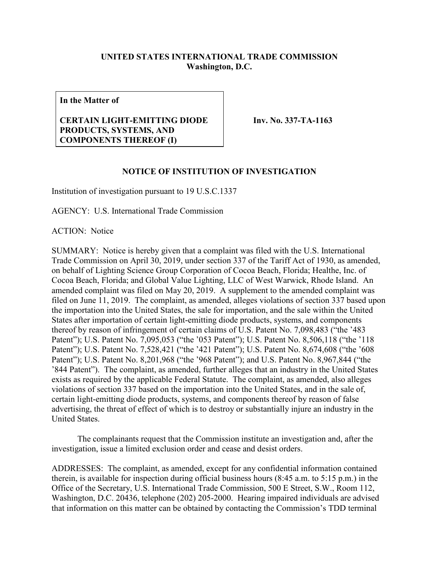## **UNITED STATES INTERNATIONAL TRADE COMMISSION Washington, D.C.**

**In the Matter of**

## **CERTAIN LIGHT-EMITTING DIODE PRODUCTS, SYSTEMS, AND COMPONENTS THEREOF (I)**

**Inv. No. 337-TA-1163**

## **NOTICE OF INSTITUTION OF INVESTIGATION**

Institution of investigation pursuant to 19 U.S.C.1337

AGENCY: U.S. International Trade Commission

ACTION: Notice

SUMMARY: Notice is hereby given that a complaint was filed with the U.S. International Trade Commission on April 30, 2019, under section 337 of the Tariff Act of 1930, as amended, on behalf of Lighting Science Group Corporation of Cocoa Beach, Florida; Healthe, Inc. of Cocoa Beach, Florida; and Global Value Lighting, LLC of West Warwick, Rhode Island. An amended complaint was filed on May 20, 2019. A supplement to the amended complaint was filed on June 11, 2019. The complaint, as amended, alleges violations of section 337 based upon the importation into the United States, the sale for importation, and the sale within the United States after importation of certain light-emitting diode products, systems, and components thereof by reason of infringement of certain claims of U.S. Patent No. 7,098,483 ("the '483 Patent"); U.S. Patent No. 7,095,053 ("the '053 Patent"); U.S. Patent No. 8,506,118 ("the '118 Patent"); U.S. Patent No. 7,528,421 ("the '421 Patent"); U.S. Patent No. 8,674,608 ("the '608 Patent"); U.S. Patent No. 8,201,968 ("the '968 Patent"); and U.S. Patent No. 8,967,844 ("the '844 Patent"). The complaint, as amended, further alleges that an industry in the United States exists as required by the applicable Federal Statute. The complaint, as amended, also alleges violations of section 337 based on the importation into the United States, and in the sale of, certain light-emitting diode products, systems, and components thereof by reason of false advertising, the threat of effect of which is to destroy or substantially injure an industry in the United States.

The complainants request that the Commission institute an investigation and, after the investigation, issue a limited exclusion order and cease and desist orders.

ADDRESSES: The complaint, as amended, except for any confidential information contained therein, is available for inspection during official business hours (8:45 a.m. to 5:15 p.m.) in the Office of the Secretary, U.S. International Trade Commission, 500 E Street, S.W., Room 112, Washington, D.C. 20436, telephone (202) 205-2000. Hearing impaired individuals are advised that information on this matter can be obtained by contacting the Commission's TDD terminal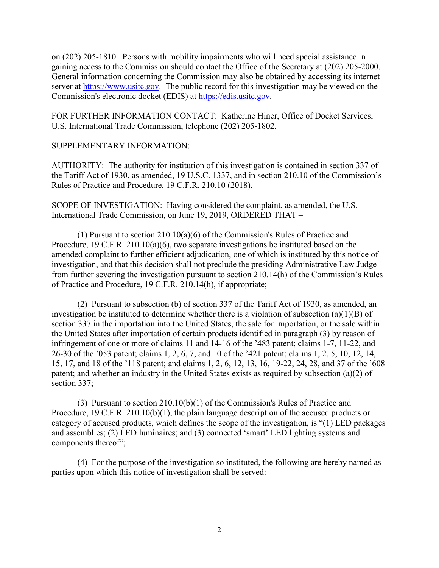on (202) 205-1810. Persons with mobility impairments who will need special assistance in gaining access to the Commission should contact the Office of the Secretary at (202) 205-2000. General information concerning the Commission may also be obtained by accessing its internet server at [https://www.usitc.gov.](https://www.usitc.gov/) The public record for this investigation may be viewed on the Commission's electronic docket (EDIS) at [https://edis.usitc.gov.](https://edis.usitc.gov/)

FOR FURTHER INFORMATION CONTACT: Katherine Hiner, Office of Docket Services, U.S. International Trade Commission, telephone (202) 205-1802.

## SUPPLEMENTARY INFORMATION:

AUTHORITY: The authority for institution of this investigation is contained in section 337 of the Tariff Act of 1930, as amended, 19 U.S.C. 1337, and in section 210.10 of the Commission's Rules of Practice and Procedure, 19 C.F.R. 210.10 (2018).

SCOPE OF INVESTIGATION: Having considered the complaint, as amended, the U.S. International Trade Commission, on June 19, 2019, ORDERED THAT –

(1) Pursuant to section 210.10(a)(6) of the Commission's Rules of Practice and Procedure, 19 C.F.R. 210.10(a)(6), two separate investigations be instituted based on the amended complaint to further efficient adjudication, one of which is instituted by this notice of investigation, and that this decision shall not preclude the presiding Administrative Law Judge from further severing the investigation pursuant to section 210.14(h) of the Commission's Rules of Practice and Procedure, 19 C.F.R. 210.14(h), if appropriate;

(2) Pursuant to subsection (b) of section 337 of the Tariff Act of 1930, as amended, an investigation be instituted to determine whether there is a violation of subsection (a)(1)(B) of section 337 in the importation into the United States, the sale for importation, or the sale within the United States after importation of certain products identified in paragraph (3) by reason of infringement of one or more of claims 11 and 14-16 of the '483 patent; claims 1-7, 11-22, and 26-30 of the '053 patent; claims 1, 2, 6, 7, and 10 of the '421 patent; claims 1, 2, 5, 10, 12, 14, 15, 17, and 18 of the '118 patent; and claims 1, 2, 6, 12, 13, 16, 19-22, 24, 28, and 37 of the '608 patent; and whether an industry in the United States exists as required by subsection (a)(2) of section 337;

(3) Pursuant to section 210.10(b)(1) of the Commission's Rules of Practice and Procedure, 19 C.F.R. 210.10(b)(1), the plain language description of the accused products or category of accused products, which defines the scope of the investigation, is "(1) LED packages and assemblies; (2) LED luminaires; and (3) connected 'smart' LED lighting systems and components thereof";

(4) For the purpose of the investigation so instituted, the following are hereby named as parties upon which this notice of investigation shall be served: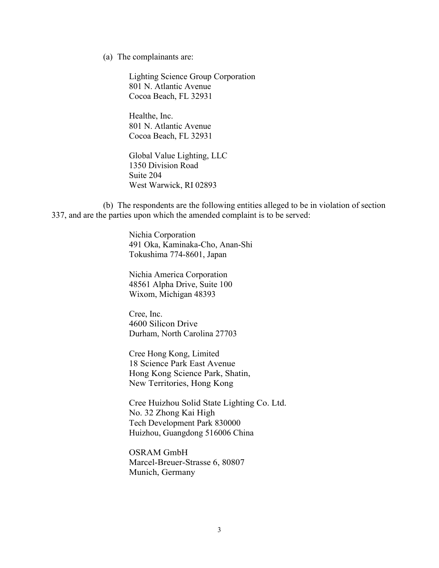(a) The complainants are:

Lighting Science Group Corporation 801 N. Atlantic Avenue Cocoa Beach, FL 32931

Healthe, Inc. 801 N. Atlantic Avenue Cocoa Beach, FL 32931

Global Value Lighting, LLC 1350 Division Road Suite 204 West Warwick, RI 02893

(b) The respondents are the following entities alleged to be in violation of section 337, and are the parties upon which the amended complaint is to be served:

> Nichia Corporation 491 Oka, Kaminaka-Cho, Anan-Shi Tokushima 774-8601, Japan

Nichia America Corporation 48561 Alpha Drive, Suite 100 Wixom, Michigan 48393

Cree, Inc. 4600 Silicon Drive Durham, North Carolina 27703

Cree Hong Kong, Limited 18 Science Park East Avenue Hong Kong Science Park, Shatin, New Territories, Hong Kong

Cree Huizhou Solid State Lighting Co. Ltd. No. 32 Zhong Kai High Tech Development Park 830000 Huizhou, Guangdong 516006 China

OSRAM GmbH Marcel-Breuer-Strasse 6, 80807 Munich, Germany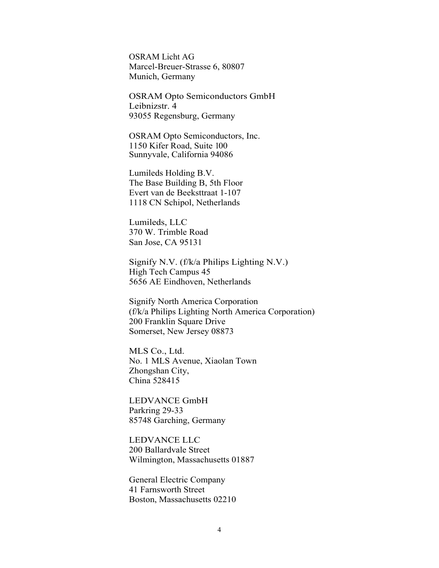OSRAM Licht AG Marcel-Breuer-Strasse 6, 80807 Munich, Germany

OSRAM Opto Semiconductors GmbH Leibnizstr. 4 93055 Regensburg, Germany

OSRAM Opto Semiconductors, Inc. 1150 Kifer Road, Suite 100 Sunnyvale, California 94086

Lumileds Holding B.V. The Base Building B, 5th Floor Evert van de Beeksttraat 1-107 1118 CN Schipol, Netherlands

Lumileds, LLC 370 W. Trimble Road San Jose, CA 95131

Signify N.V. (f/k/a Philips Lighting N.V.) High Tech Campus 45 5656 AE Eindhoven, Netherlands

Signify North America Corporation (f/k/a Philips Lighting North America Corporation) 200 Franklin Square Drive Somerset, New Jersey 08873

MLS Co., Ltd. No. 1 MLS Avenue, Xiaolan Town Zhongshan City, China 528415

LEDVANCE GmbH Parkring 29-33 85748 Garching, Germany

LEDVANCE LLC 200 Ballardvale Street Wilmington, Massachusetts 01887

General Electric Company 41 Farnsworth Street Boston, Massachusetts 02210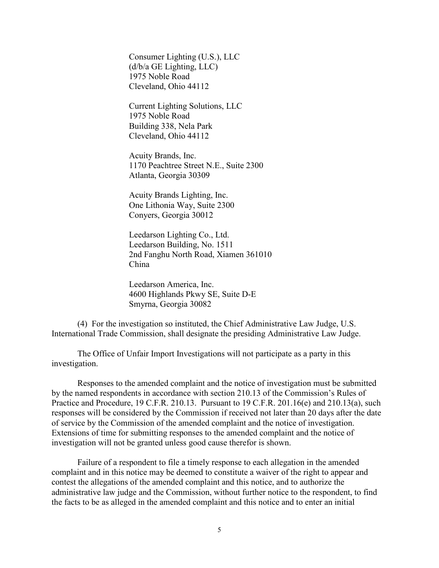Consumer Lighting (U.S.), LLC (d/b/a GE Lighting, LLC) 1975 Noble Road Cleveland, Ohio 44112

Current Lighting Solutions, LLC 1975 Noble Road Building 338, Nela Park Cleveland, Ohio 44112

Acuity Brands, Inc. 1170 Peachtree Street N.E., Suite 2300 Atlanta, Georgia 30309

Acuity Brands Lighting, Inc. One Lithonia Way, Suite 2300 Conyers, Georgia 30012

Leedarson Lighting Co., Ltd. Leedarson Building, No. 1511 2nd Fanghu North Road, Xiamen 361010 China

Leedarson America, Inc. 4600 Highlands Pkwy SE, Suite D-E Smyrna, Georgia 30082

(4) For the investigation so instituted, the Chief Administrative Law Judge, U.S. International Trade Commission, shall designate the presiding Administrative Law Judge.

The Office of Unfair Import Investigations will not participate as a party in this investigation.

Responses to the amended complaint and the notice of investigation must be submitted by the named respondents in accordance with section 210.13 of the Commission's Rules of Practice and Procedure, 19 C.F.R. 210.13. Pursuant to 19 C.F.R. 201.16(e) and 210.13(a), such responses will be considered by the Commission if received not later than 20 days after the date of service by the Commission of the amended complaint and the notice of investigation. Extensions of time for submitting responses to the amended complaint and the notice of investigation will not be granted unless good cause therefor is shown.

Failure of a respondent to file a timely response to each allegation in the amended complaint and in this notice may be deemed to constitute a waiver of the right to appear and contest the allegations of the amended complaint and this notice, and to authorize the administrative law judge and the Commission, without further notice to the respondent, to find the facts to be as alleged in the amended complaint and this notice and to enter an initial